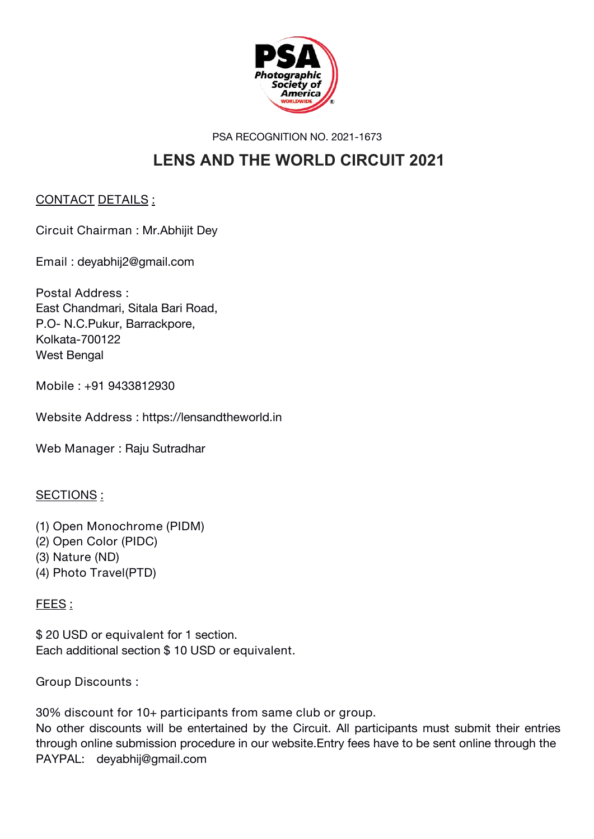

PSA RECOGNITION NO. 2021-1673

## **LENS AND THE WORLD CIRCUIT 2021**

#### **CONTACT DETAILS :**

**Circuit Chairman :** Mr.Abhijit Dey

**Email :** deyabhij2@gmail.com

**Postal Address :** East Chandmari, Sitala Bari Road, P.O- N.C.Pukur, Barrackpore, Kolkata-700122 West Bengal

**Mobile : +91 9433812930**

**Website Address :** https://lensandtheworld.in

**Web Manager :** Raju Sutradhar

#### **SECTIONS :**

**(1) Open Monochrome (PIDM) (2) Open Color (PIDC) (3) Nature (ND) (4) Photo Travel(PTD)**

#### **FEES :**

**\$ 20 USD** or **equivalent** for 1 section. Each additional section **\$ 10 USD** or **equivalent.**

**Group Discounts :**

**30% discount for 10+ participants from same club or group.**

No other discounts will be entertained by the Circuit. All participants must submit their entries through online submission procedure in our website.Entry fees have to be sent online through the PAYPAL: deyabhij@gmail.com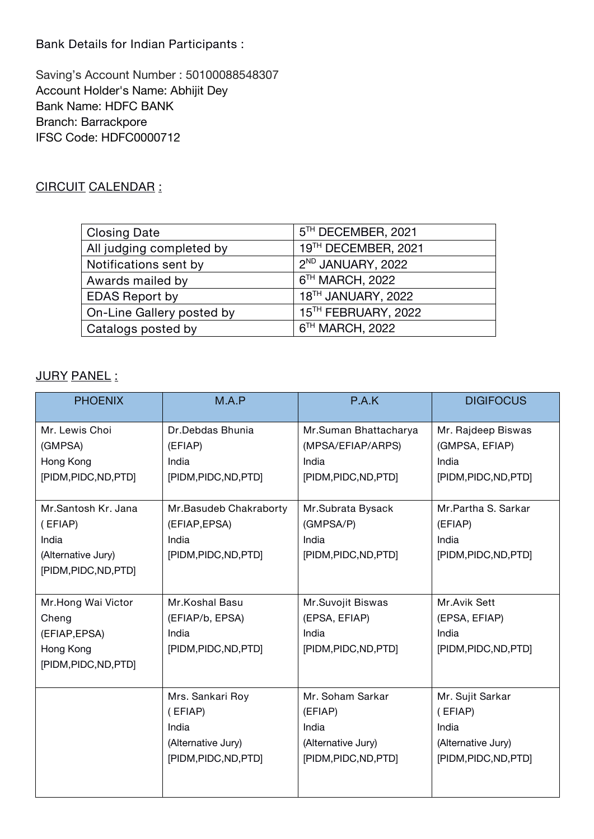**Bank Details for Indian Participants :**

Saving's Account Number : 50100088548307 Account Holder's Name: Abhijit Dey Bank Name: HDFC BANK Branch: Barrackpore IFSC Code: HDFC0000712

#### **CIRCUIT CALENDAR :**

| <b>Closing Date</b>       | 5 <sup>TH</sup> DECEMBER, 2021 |  |
|---------------------------|--------------------------------|--|
| All judging completed by  | 19TH DECEMBER, 2021            |  |
| Notifications sent by     | 2 <sup>ND</sup> JANUARY, 2022  |  |
| Awards mailed by          | 6 <sup>TH</sup> MARCH, 2022    |  |
| <b>EDAS Report by</b>     | 18 <sup>TH</sup> JANUARY, 2022 |  |
| On-Line Gallery posted by | 15TH FEBRUARY, 2022            |  |
| Catalogs posted by        | 6 <sup>TH</sup> MARCH, 2022    |  |

#### **JURY PANEL :**

| <b>PHOENIX</b>        | M.A.P                  | P.A.K                 | <b>DIGIFOCUS</b>      |
|-----------------------|------------------------|-----------------------|-----------------------|
| Mr. Lewis Choi        | Dr.Debdas Bhunia       | Mr.Suman Bhattacharya | Mr. Rajdeep Biswas    |
| (GMPSA)               | (EFIAP)                | (MPSA/EFIAP/ARPS)     | (GMPSA, EFIAP)        |
| Hong Kong             | India                  | India                 | India                 |
| [PIDM, PIDC, ND, PTD] | [PIDM, PIDC, ND, PTD]  | [PIDM, PIDC, ND, PTD] | [PIDM, PIDC, ND, PTD] |
| Mr.Santosh Kr. Jana   | Mr.Basudeb Chakraborty | Mr.Subrata Bysack     | Mr.Partha S. Sarkar   |
| (EFIAP)               | (EFIAP, EPSA)          | (GMPSA/P)             | (EFIAP)               |
| India                 | India                  | India                 | India                 |
| (Alternative Jury)    | [PIDM, PIDC, ND, PTD]  | [PIDM, PIDC, ND, PTD] | [PIDM, PIDC, ND, PTD] |
| [PIDM, PIDC, ND, PTD] |                        |                       |                       |
| Mr.Hong Wai Victor    | Mr.Koshal Basu         | Mr.Suvojit Biswas     | Mr.Avik Sett          |
| Cheng                 | (EFIAP/b, EPSA)        | (EPSA, EFIAP)         | (EPSA, EFIAP)         |
| (EFIAP, EPSA)         | India                  | India                 | India                 |
| Hong Kong             | [PIDM,PIDC,ND,PTD]     | [PIDM, PIDC, ND, PTD] | [PIDM, PIDC, ND, PTD] |
| [PIDM, PIDC, ND, PTD] |                        |                       |                       |
|                       | Mrs. Sankari Roy       | Mr. Soham Sarkar      | Mr. Sujit Sarkar      |
|                       | (EFIAP)                | (EFIAP)               | (EFIAP)               |
|                       | India                  | India                 | India                 |
|                       | (Alternative Jury)     | (Alternative Jury)    | (Alternative Jury)    |
|                       | [PIDM, PIDC, ND, PTD]  | [PIDM, PIDC, ND, PTD] | [PIDM, PIDC, ND, PTD] |
|                       |                        |                       |                       |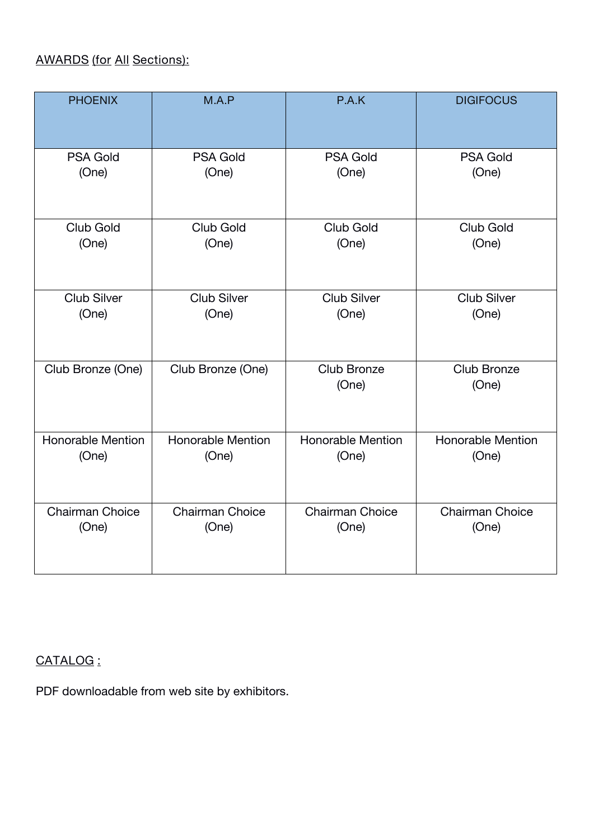### **AWARDS (for All Sections):**

| <b>PHOENIX</b>     | M.A.P              | P.A.K                       | <b>DIGIFOCUS</b>     |
|--------------------|--------------------|-----------------------------|----------------------|
| <b>PSA Gold</b>    | <b>PSA Gold</b>    | <b>PSA Gold</b>             | <b>PSA Gold</b>      |
| (One)              | (One)              | (One)                       | (One)                |
| Club Gold          | Club Gold          | Club Gold                   | Club Gold            |
| (One)              | (One)              | (One)                       | (One)                |
| <b>Club Silver</b> | <b>Club Silver</b> | <b>Club Silver</b>          | <b>Club Silver</b>   |
| (One)              | (One)              | (One)                       | (One)                |
| Club Bronze (One)  | Club Bronze (One)  | <b>Club Bronze</b><br>(One) | Club Bronze<br>(One) |
| Honorable Mention  | Honorable Mention  | <b>Honorable Mention</b>    | Honorable Mention    |
| (One)              | (One)              | (One)                       | (One)                |
| Chairman Choice    | Chairman Choice    | Chairman Choice             | Chairman Choice      |
| (One)              | (One)              | (One)                       | (One)                |

#### **CATALOG :**

PDF downloadable from web site by exhibitors.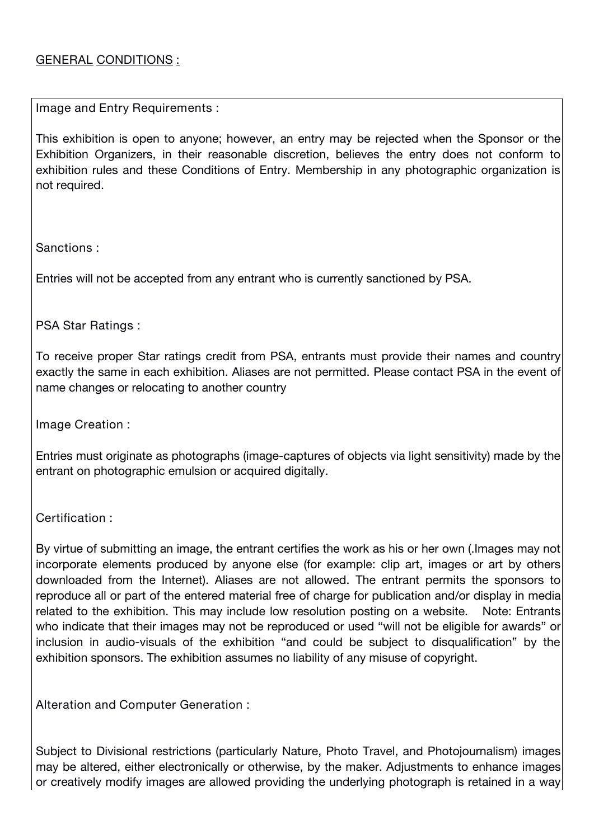#### **GENERAL CONDITIONS :**

**Image and Entry Requirements :**

This exhibition is open to anyone; however, an entry may be rejected when the Sponsor or the Exhibition Organizers, in their reasonable discretion, believes the entry does not conform to exhibition rules and these Conditions of Entry. Membership in any photographic organization is not required.

**Sanctions** :

Entries will not be accepted from any entrant who is currently sanctioned by PSA.

**PSA Star Ratings :**

To receive proper Star ratings credit from PSA, entrants must provide their names and country exactly the same in each exhibition. Aliases are not permitted. Please contact PSA in the event of name changes or relocating to another country

**Image Creation :**

Entries must originate as photographs (image-captures of objects via light sensitivity) made by the entrant on photographic emulsion or acquired digitally.

**Certification** :

By virtue of submitting an image, the entrant certifies the work as his or her own (.Images may not incorporate elements produced by anyone else (for example: clip art, images or art by others downloaded from the Internet). Aliases are not allowed. The entrant permits the sponsors to reproduce all or part of the entered material free of charge for publication and/or display in media related to the exhibition. This may include low resolution posting on a website. Note: Entrants who indicate that their images may not be reproduced or used "will not be eligible for awards" or inclusion in audio-visuals of the exhibition "and could be subject to disqualification" by the exhibition sponsors. The exhibition assumes no liability of any misuse of copyright.

**Alteration and Computer Generation :**

Subject to Divisional restrictions (particularly Nature, Photo Travel, and Photojournalism) images may be altered, either electronically or otherwise, by the maker. Adjustments to enhance images or creatively modify images are allowed providing the underlying photograph is retained in a way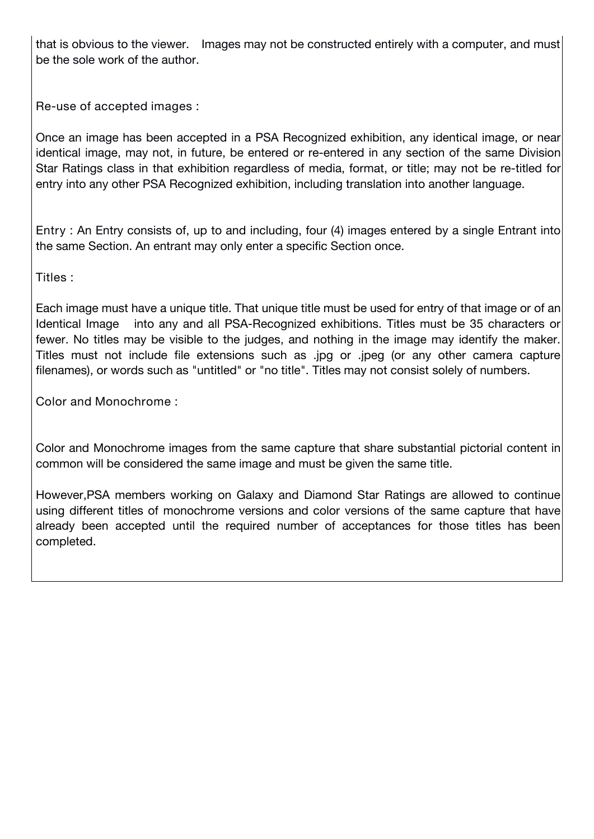that is obvious to the viewer. Images may not be constructed entirely with a computer, and must be the sole work of the author.

**Re-use of accepted images** :

Once an image has been accepted in a PSA Recognized exhibition, any identical image, or near identical image, may not, in future, be entered or re-entered in any section of the same Division Star Ratings class in that exhibition regardless of media, format, or title; may not be re-titled for entry into any other PSA Recognized exhibition, including translation into another language.

**Entry** : An Entry consists of, up to and including, four (4)images entered by a single Entrant into the same Section. An entrant may only enter a specific Section once.

**Titles** :

Each image must have a unique title. That unique title must be used for entry of that image or of an Identical Image into any and all PSA-Recognized exhibitions. Titles must be 35 characters or fewer. No titles may be visible to the judges, and nothing in the image may identify the maker. Titles must not include file extensions such as .jpg or .jpeg (or any other camera capture filenames), or words such as "untitled" or "no title". Titles may not consist solely of numbers.

**Color and Monochrome :**

Color and Monochrome images from the same capture that share substantial pictorial content in common will be considered the same image and must be given the same title.

However,PSA members working on Galaxy and Diamond Star Ratings are allowed to continue using different titles of monochrome versions and color versions of the same capture that have already been accepted until the required number of acceptances for those titles has been completed.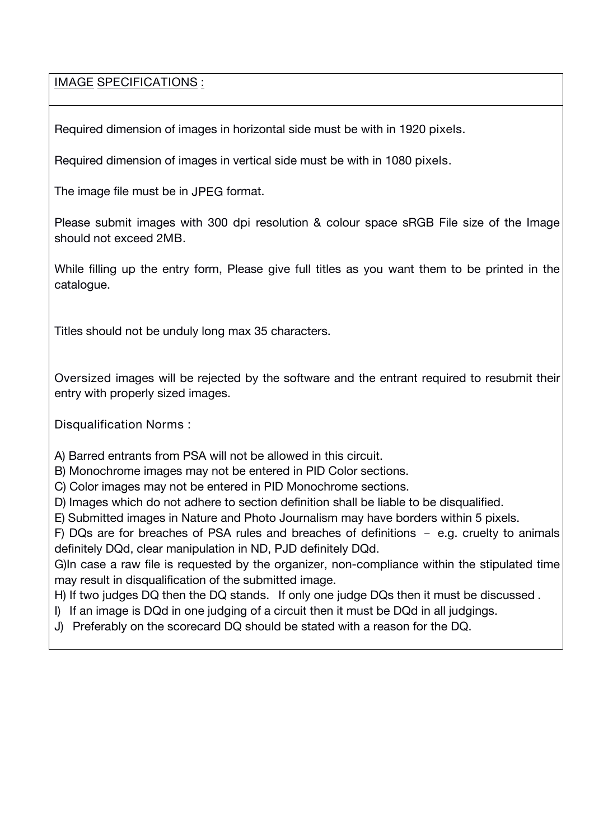#### **IMAGE SPECIFICATIONS :**

Required dimension of images in horizontal side must be with in **1920 pixels**.

Required dimension of images in vertical side must be with in **1080 pixels.**

The image file must be in **JPEG** format.

Please submit images with **300 dpi** resolution & colour space sRGB File size of the Image should not exceed **2MB**.

While filling up the entry form, Please give full titles as you want them to be printed in the catalogue.

Titles should not be unduly long max 35 characters.

Oversized images will be rejected by the software and the entrant required to resubmit their entry with properly sized images.

**Disqualification Norms :**

A) Barred entrants from PSA will not be allowed in this circuit.

B) Monochrome images may not be entered in PID Color sections.

C) Color images may not be entered in PID Monochrome sections.

D) Images which do not adhere to section definition shall be liable to be disqualified.

E) Submitted images in Nature and Photo Journalism may have borders within 5 pixels.

F) DQs are for breaches of PSA rules and breaches of definitions – e.g. cruelty to animals definitely DQd, clear manipulation in ND, PJD definitely DQd.

G)In case a raw file is requested by the organizer, non-compliance within the stipulated time may result in disqualification of the submitted image.

H) If two judges DQ then the DQ stands. If only one judge DQs then it must be discussed.

I) If an image is DQd in one judging of a circuit then it must be DQd in all judgings.

J) Preferably on the scorecard DQ should be stated with a reason for the DQ.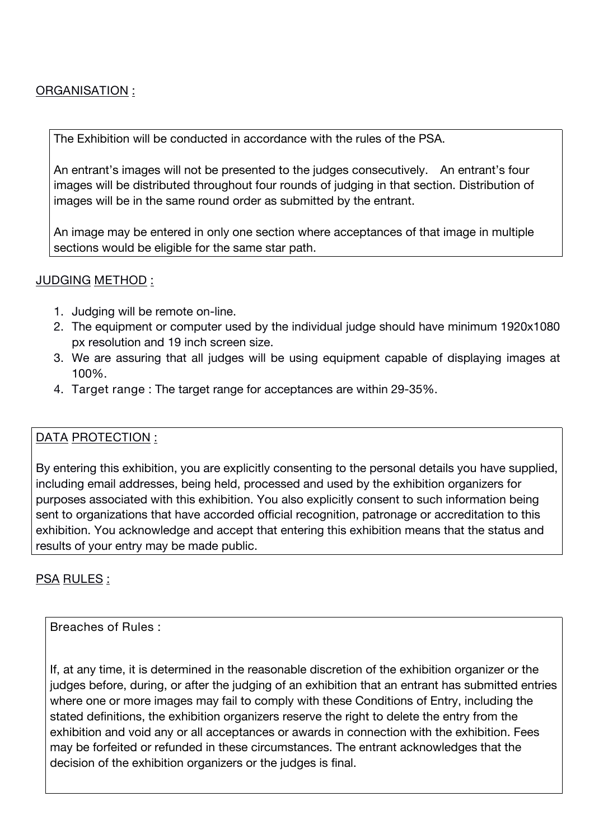#### **ORGANISATION :**

The Exhibition will be conducted in accordance with the rules of the PSA.

An entrant's images will not be presented to the judges consecutively. An entrant's four images will be distributed throughout four rounds of judging in that section. Distribution of images will be in the same round order as submitted by the entrant.

An image may be entered in only one section where acceptances of that image in multiple sections would be eligible for the same star path.

#### **JUDGING METHOD :**

- 1. Judging will be remote on-line.
- 2. The equipment or computer used by the individual judge should have minimum 1920x1080 px resolution and 19 inch screen size.
- 3. We are assuring that all judges will be using equipment capable of displaying images at 100%.
- **4. Target range :** The target range for acceptances are within 29-35%.

#### **DATA PROTECTION :**

By entering this exhibition, you are explicitly consenting to the personal details you have supplied, including email addresses, being held, processed and used by the exhibition organizers for purposes associated with this exhibition. You also explicitly consent to such information being sent to organizations that have accorded official recognition, patronage or accreditation to this exhibition. You acknowledge and accept that entering this exhibition means that the status and results of your entry may be made public.

**PSA RULES :**

#### **Breaches of Rules :**

If, at any time, it is determined in the reasonable discretion of the exhibition organizer or the judges before, during, or after the judging of an exhibition that an entrant has submitted entries where one or more images may fail to comply with these Conditions of Entry, including the stated definitions, the exhibition organizers reserve the right to delete the entry from the exhibition and void any or all acceptances or awards in connection with the exhibition. Fees may be forfeited or refunded in these circumstances. The entrant acknowledges that the decision of the exhibition organizers or the judges is final.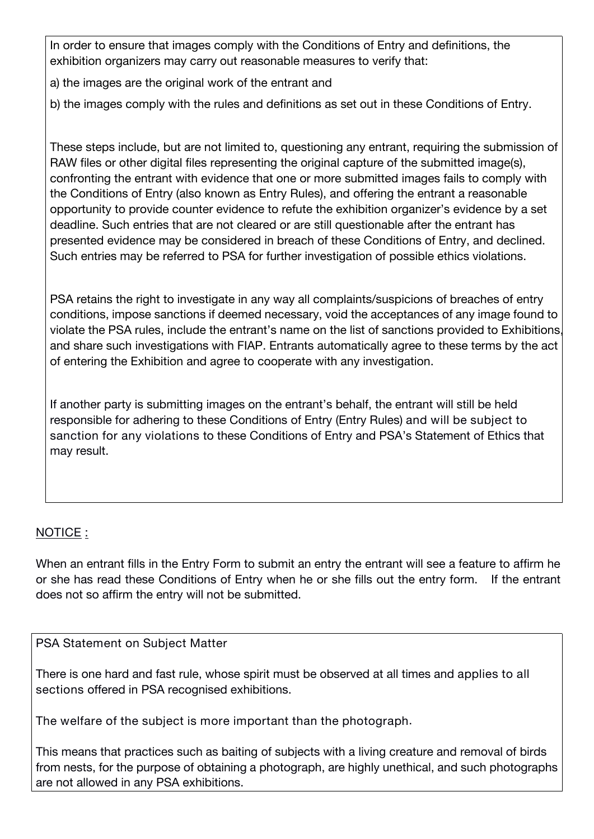In order to ensure that images comply with the Conditions of Entry and definitions, the exhibition organizers may carry out reasonable measures to verify that:

- a) the images are the original work of the entrant and
- b) the images comply with the rules and definitions as set out in these Conditions of Entry.

These steps include, but are not limited to, questioning any entrant, requiring the submission of RAW files or other digital files representing the original capture of the submitted image(s), confronting the entrant with evidence that one or more submitted images fails to comply with the Conditions of Entry (also known as Entry Rules), and offering the entrant a reasonable opportunity to provide counter evidence to refute the exhibition organizer's evidence by a set deadline. Such entries that are not cleared or are still questionable after the entrant has presented evidence may be considered in breach of these Conditions of Entry, and declined. Such entries may be referred to PSA for further investigation of possible ethics violations.

PSA retains the right to investigate in any way all complaints/suspicions of breaches of entry conditions, impose sanctions if deemed necessary, void the acceptances of any image found to violate the PSA rules, include the entrant's name on the list of sanctions provided to Exhibitions. and share such investigations with FIAP. Entrants automatically agree to these terms by the act of entering the Exhibition and agree to cooperate with any investigation.

If another party is submitting images on the entrant's behalf, the entrant will still be held responsible for adhering to these Conditions of Entry (Entry Rules) **and will be subject to sanction for any violations** to these Conditions of Entry and PSA's Statement of Ethics that may result.

#### **NOTICE** :

When an entrant fills in the Entry Form to submit an entry the entrant will see a feature to affirm he or she has read these Conditions of Entry when he or she fills out the entry form. If the entrant does not so affirm the entry will not be submitted.

#### **PSA Statement on Subject Matter**

There is one hard and fast rule, whose spirit must be observed at all times and **applies to all sections** offered in PSA recognised exhibitions.

**The welfare of the subject is more important than the photograph**.

This means that practices such as baiting of subjects with a living creature and removal of birds from nests, for the purpose of obtaining a photograph, are highly unethical, and such photographs are not allowed in any PSA exhibitions.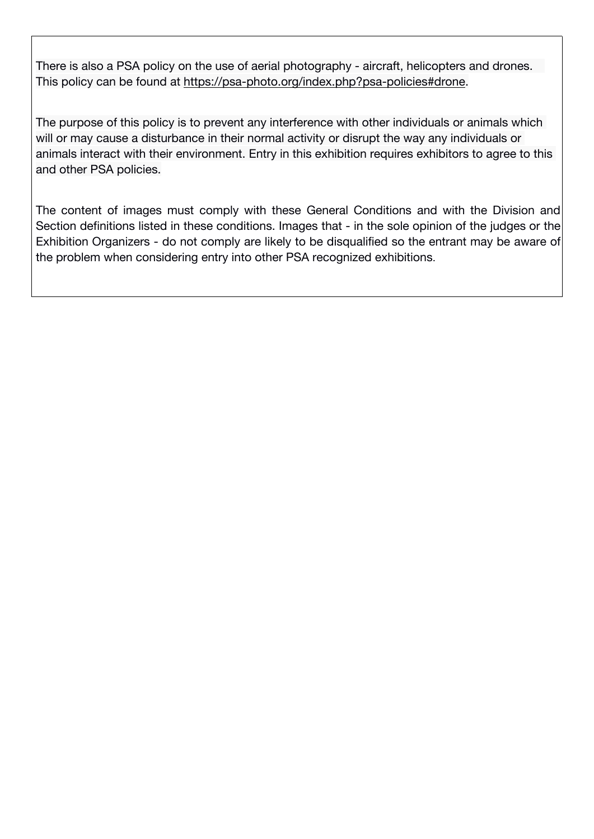There is also a PSA policy on the use of aerial photography - aircraft, helicopters and drones. This policy can be found at https://psa-photo.org/index.php?psa-policies#drone.

The purpose of this policy is to prevent any interference with other individuals or animals which will or may cause a disturbance in their normal activity or disrupt the way any individuals or animals interact with their environment. Entry in this exhibition requires exhibitors to agree to this and other PSA policies.

The content of images must comply with these General Conditions and with the Division and Section definitions listed in these conditions. Images that - in the sole opinion of the judges or the Exhibition Organizers - do not comply are likely to be disqualified so the entrant may be aware of the problem when considering entry into other PSA recognized exhibitions.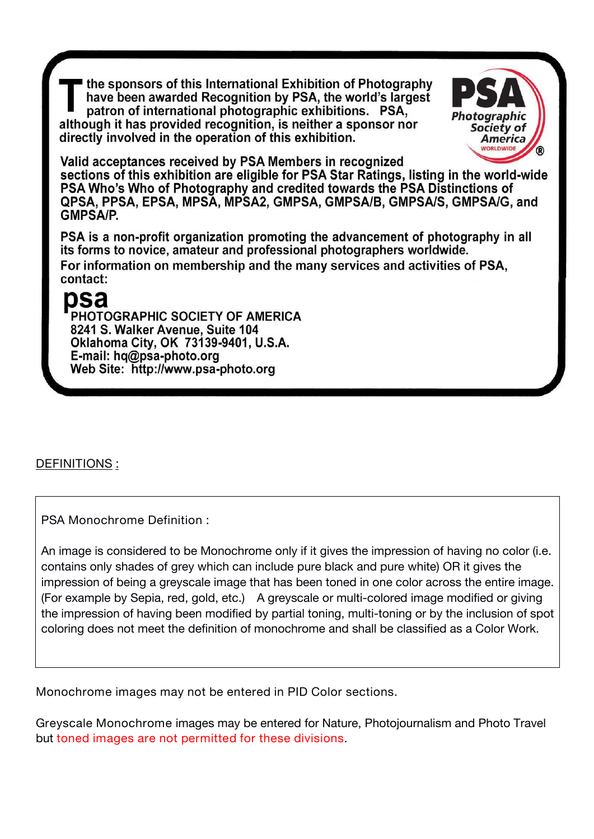the sponsors of this International Exhibition of Photography have been awarded Recognition by PSA, the world's largest patron of international photographic exhibitions. PSA, although it has provided recognition, is neither a sponsor nor directly involved in the operation of this exhibition.



Valid acceptances received by PSA Members in recognized sections of this exhibition are eligible for PSA Star Ratings, listing in the world-wide PSA Who's Who of Photography and credited towards the PSA Distinctions of QPSA, PPSA, EPSA, MPSA, MPSA2, GMPSA, GMPSA/B, GMPSA/S, GMPSA/G, and **GMPSA/P.** 

PSA is a non-profit organization promoting the advancement of photography in all its forms to novice, amateur and professional photographers worldwide. For information on membership and the many services and activities of PSA, contact:

# psa

PHOTOGRAPHIC SOCIETY OF AMERICA 8241 S. Walker Avenue, Suite 104 Oklahoma City, OK 73139-9401, U.S.A. E-mail: hq@psa-photo.org Web Site: http://www.psa-photo.org

**DEFINITIONS :**

**PSA Monochrome Definition :**

An image is considered to be Monochrome only if it gives the impression of having no color (i.e. contains only shades of grey which can include pure black and pure white) OR it gives the impression of being a greyscale image that has been toned in one color across the entire image. (For example by Sepia, red, gold, etc.) A greyscale or multi-colored image modified or giving the impression of having been modified by partial toning, multi-toning or by the inclusion of spot coloring does not meet the definition of monochrome and shall be classified as a Color Work.

**Monochrome images may not be entered in PID Color sections.**

**Greyscale Monochrome** images may be entered for Nature, Photojournalism and Photo Travel but **toned images are not permitted for these divisions**.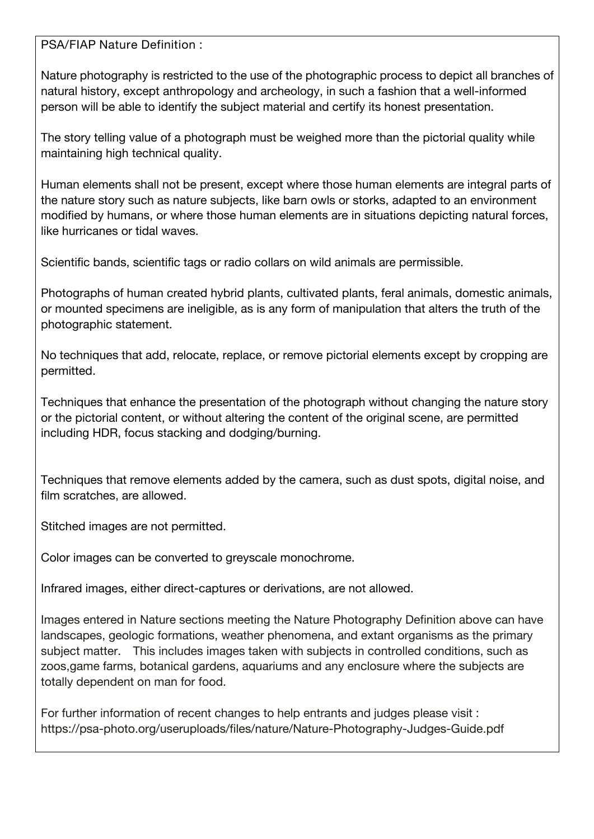**PSA/FIAP Nature Definition :**

Nature photography is restricted to the use of the photographic process to depict all branches of natural history, except anthropology and archeology, in such a fashion that a well-informed person will be able to identify the subject material and certify its honest presentation.

The story telling value of a photograph must be weighed more than the pictorial quality while maintaining high technical quality.

Human elements shall not be present, except where those human elements are integral parts of the nature story such as nature subjects, like barn owls or storks, adapted to an environment modified by humans, or where those human elements are in situations depicting natural forces, like hurricanes or tidal waves.

Scientific bands, scientific tags or radio collars on wild animals are permissible.

Photographs of human created hybrid plants, cultivated plants, feral animals, domestic animals, or mounted specimens are ineligible, as is any form of manipulation that alters the truth of the photographic statement.

No techniques that add, relocate, replace, or remove pictorial elements except by cropping are permitted.

Techniques that enhance the presentation of the photograph without changing the nature story or the pictorial content, or without altering the content of the original scene, are permitted including HDR, focus stacking and dodging/burning.

Techniques that remove elements added by the camera, such as dust spots, digital noise, and film scratches, are allowed.

Stitched images are not permitted.

Color images can be converted to greyscale monochrome.

Infrared images, either direct-captures or derivations, are not allowed.

Images entered in Nature sections meeting the Nature Photography Definition above can have landscapes, geologic formations, weather phenomena, and extant organisms as the primary subject matter. This includes images taken with subjects in controlled conditions, such as zoos,game farms, botanical gardens, aquariums and any enclosure where the subjects are totally dependent on man for food.

For further information of recent changes to help entrants and judges please visit : https://psa-photo.org/useruploads/files/nature/Nature-Photography-Judges-Guide.pdf